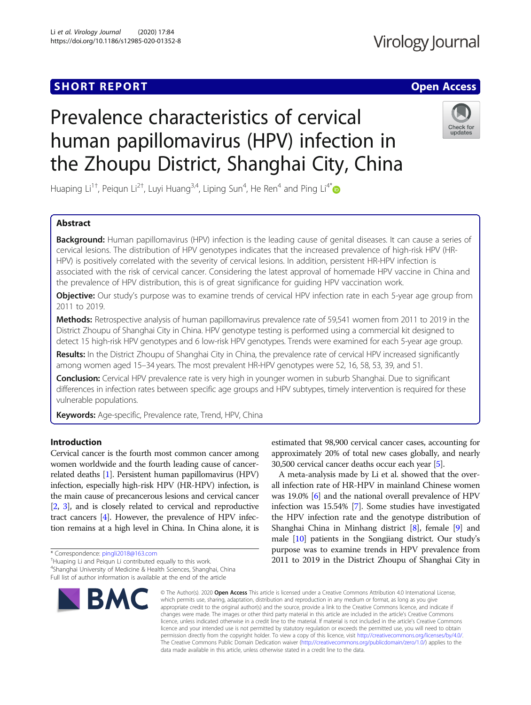# **SHORT REPORT CONTRACT CONTRACT CONTRACT CONTRACT CONTRACT CONTRACT CONTRACT CONTRACT CONTRACT CONTRACT CONTRACT CONTRACT CONTRACT CONTRACT CONTRACT CONTRACT CONTRACT CONTRACT CONTRACT CONTRACT CONTRACT CONTRACT CONTRACT C**

# Virology Journal

# Prevalence characteristics of cervical human papillomavirus (HPV) infection in the Zhoupu District, Shanghai City, China



Huaping Li $^{1\dagger}$ , Peiqun Li $^{2\dagger}$ , Luyi Huang $^{3,4}$ , Liping Sun $^4$ , He Ren $^4$  and Ping Li $^{4*}$  $^{4*}$  $^{4*}$ 

# Abstract

Background: Human papillomavirus (HPV) infection is the leading cause of genital diseases. It can cause a series of cervical lesions. The distribution of HPV genotypes indicates that the increased prevalence of high-risk HPV (HR-HPV) is positively correlated with the severity of cervical lesions. In addition, persistent HR-HPV infection is associated with the risk of cervical cancer. Considering the latest approval of homemade HPV vaccine in China and the prevalence of HPV distribution, this is of great significance for guiding HPV vaccination work.

Objective: Our study's purpose was to examine trends of cervical HPV infection rate in each 5-year age group from 2011 to 2019.

Methods: Retrospective analysis of human papillomavirus prevalence rate of 59,541 women from 2011 to 2019 in the District Zhoupu of Shanghai City in China. HPV genotype testing is performed using a commercial kit designed to detect 15 high-risk HPV genotypes and 6 low-risk HPV genotypes. Trends were examined for each 5-year age group.

Results: In the District Zhoupu of Shanghai City in China, the prevalence rate of cervical HPV increased significantly among women aged 15–34 years. The most prevalent HR-HPV genotypes were 52, 16, 58, 53, 39, and 51.

Conclusion: Cervical HPV prevalence rate is very high in younger women in suburb Shanghai. Due to significant differences in infection rates between specific age groups and HPV subtypes, timely intervention is required for these vulnerable populations.

**Keywords:** Age-specific, Prevalence rate, Trend, HPV, China

# Introduction

Cervical cancer is the fourth most common cancer among women worldwide and the fourth leading cause of cancerrelated deaths [\[1](#page-7-0)]. Persistent human papillomavirus (HPV) infection, especially high-risk HPV (HR-HPV) infection, is the main cause of precancerous lesions and cervical cancer [[2](#page-7-0), [3\]](#page-7-0), and is closely related to cervical and reproductive tract cancers [\[4](#page-7-0)]. However, the prevalence of HPV infection remains at a high level in China. In China alone, it is

\* Correspondence: [pingli2018@163.com](mailto:pingli2018@163.com) †

<sup>+</sup>Huaping Li and Peigun Li contributed equally to this work.

4 Shanghai University of Medicine & Health Sciences, Shanghai, China Full list of author information is available at the end of the article



estimated that 98,900 cervical cancer cases, accounting for approximately 20% of total new cases globally, and nearly 30,500 cervical cancer deaths occur each year [\[5](#page-7-0)].

A meta-analysis made by Li et al. showed that the overall infection rate of HR-HPV in mainland Chinese women was 19.0% [\[6](#page-7-0)] and the national overall prevalence of HPV infection was 15.54% [\[7](#page-7-0)]. Some studies have investigated the HPV infection rate and the genotype distribution of Shanghai China in Minhang district [[8\]](#page-7-0), female [\[9](#page-7-0)] and male [\[10\]](#page-7-0) patients in the Songjiang district. Our study's purpose was to examine trends in HPV prevalence from 2011 to 2019 in the District Zhoupu of Shanghai City in

© The Author(s), 2020 **Open Access** This article is licensed under a Creative Commons Attribution 4.0 International License, which permits use, sharing, adaptation, distribution and reproduction in any medium or format, as long as you give appropriate credit to the original author(s) and the source, provide a link to the Creative Commons licence, and indicate if changes were made. The images or other third party material in this article are included in the article's Creative Commons licence, unless indicated otherwise in a credit line to the material. If material is not included in the article's Creative Commons licence and your intended use is not permitted by statutory regulation or exceeds the permitted use, you will need to obtain permission directly from the copyright holder. To view a copy of this licence, visit [http://creativecommons.org/licenses/by/4.0/.](http://creativecommons.org/licenses/by/4.0/) The Creative Commons Public Domain Dedication waiver [\(http://creativecommons.org/publicdomain/zero/1.0/](http://creativecommons.org/publicdomain/zero/1.0/)) applies to the data made available in this article, unless otherwise stated in a credit line to the data.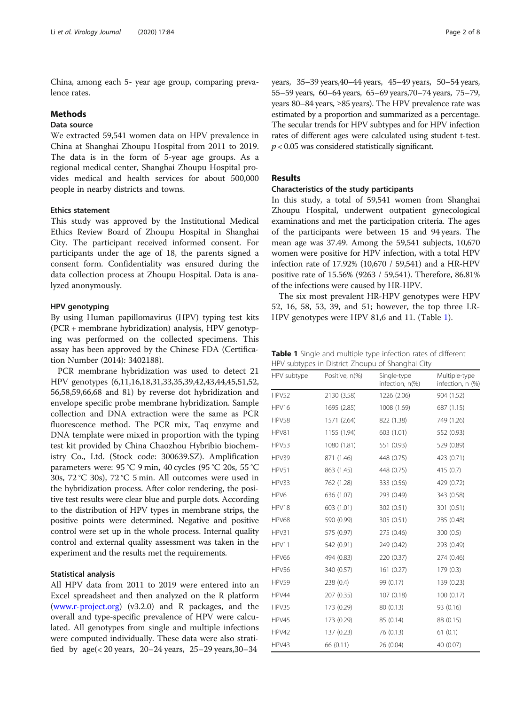<span id="page-1-0"></span>China, among each 5- year age group, comparing prevalence rates.

# **Methods**

# Data source

We extracted 59,541 women data on HPV prevalence in China at Shanghai Zhoupu Hospital from 2011 to 2019. The data is in the form of 5-year age groups. As a regional medical center, Shanghai Zhoupu Hospital provides medical and health services for about 500,000 people in nearby districts and towns.

#### Ethics statement

This study was approved by the Institutional Medical Ethics Review Board of Zhoupu Hospital in Shanghai City. The participant received informed consent. For participants under the age of 18, the parents signed a consent form. Confidentiality was ensured during the data collection process at Zhoupu Hospital. Data is analyzed anonymously.

#### HPV genotyping

By using Human papillomavirus (HPV) typing test kits (PCR + membrane hybridization) analysis, HPV genotyping was performed on the collected specimens. This assay has been approved by the Chinese FDA (Certification Number (2014): 3402188).

PCR membrane hybridization was used to detect 21 HPV genotypes (6,11,16,18,31,33,35,39,42,43,44,45,51,52, 56,58,59,66,68 and 81) by reverse dot hybridization and envelope specific probe membrane hybridization. Sample collection and DNA extraction were the same as PCR fluorescence method. The PCR mix, Taq enzyme and DNA template were mixed in proportion with the typing test kit provided by China Chaozhou Hybribio biochemistry Co., Ltd. (Stock code: 300639.SZ). Amplification parameters were: 95 °C 9 min, 40 cycles (95 °C 20s, 55 °C 30s, 72 °C 30s), 72 °C 5 min. All outcomes were used in the hybridization process. After color rendering, the positive test results were clear blue and purple dots. According to the distribution of HPV types in membrane strips, the positive points were determined. Negative and positive control were set up in the whole process. Internal quality control and external quality assessment was taken in the experiment and the results met the requirements.

#### Statistical analysis

All HPV data from 2011 to 2019 were entered into an Excel spreadsheet and then analyzed on the R platform ([www.r-project.org\)](http://www.r-project.org) (v3.2.0) and R packages, and the overall and type-specific prevalence of HPV were calculated. All genotypes from single and multiple infections were computed individually. These data were also stratified by  $age \le 20 \text{ years}$ ,  $20-24 \text{ years}$ ,  $25-29 \text{ years}$ ,  $30-34$ 

years, 35–39 years,40–44 years, 45–49 years, 50–54 years, 55–59 years, 60–64 years, 65–69 years,70–74 years, 75–79, years 80–84 years, ≥85 years). The HPV prevalence rate was estimated by a proportion and summarized as a percentage. The secular trends for HPV subtypes and for HPV infection rates of different ages were calculated using student t-test.  $p < 0.05$  was considered statistically significant.

# Results

#### Characteristics of the study participants

In this study, a total of 59,541 women from Shanghai Zhoupu Hospital, underwent outpatient gynecological examinations and met the participation criteria. The ages of the participants were between 15 and 94 years. The mean age was 37.49. Among the 59,541 subjects, 10,670 women were positive for HPV infection, with a total HPV infection rate of 17.92% (10,670 / 59,541) and a HR-HPV positive rate of 15.56% (9263 / 59,541). Therefore, 86.81% of the infections were caused by HR-HPV.

The six most prevalent HR-HPV genotypes were HPV 52, 16, 58, 53, 39, and 51; however, the top three LR-HPV genotypes were HPV 81,6 and 11. (Table 1).

Table 1 Single and multiple type infection rates of different HPV subtypes in District Zhoupu of Shanghai City

| HPV subtype      | Positive, n(%) | Single-type<br>infection, n(%) | Multiple-type<br>infection, n (%) |
|------------------|----------------|--------------------------------|-----------------------------------|
| HPV52            | 2130 (3.58)    | 1226 (2.06)                    | 904 (1.52)                        |
| HPV16            | 1695 (2.85)    | 1008 (1.69)                    | 687 (1.15)                        |
| HPV58            | 1571 (2.64)    | 822 (1.38)                     | 749 (1.26)                        |
| HPV81            | 1155 (1.94)    | 603 (1.01)                     | 552 (0.93)                        |
| HPV53            | 1080 (1.81)    | 551 (0.93)                     | 529 (0.89)                        |
| HPV39            | 871 (1.46)     | 448 (0.75)                     | 423 (0.71)                        |
| HPV51            | 863 (1.45)     | 448 (0.75)                     | 415 (0.7)                         |
| HPV33            | 762 (1.28)     | 333 (0.56)                     | 429 (0.72)                        |
| HPV <sub>6</sub> | 636 (1.07)     | 293 (0.49)                     | 343 (0.58)                        |
| HPV18            | 603 (1.01)     | 302 (0.51)                     | 301 (0.51)                        |
| HPV68            | 590 (0.99)     | 305 (0.51)                     | 285 (0.48)                        |
| HPV31            | 575 (0.97)     | 275 (0.46)                     | 300 (0.5)                         |
| HPV11            | 542 (0.91)     | 249 (0.42)                     | 293 (0.49)                        |
| HPV66            | 494 (0.83)     | 220 (0.37)                     | 274 (0.46)                        |
| HPV56            | 340 (0.57)     | 161 (0.27)                     | 179 (0.3)                         |
| HPV59            | 238 (0.4)      | 99 (0.17)                      | 139 (0.23)                        |
| HPV44            | 207 (0.35)     | 107 (0.18)                     | 100(0.17)                         |
| HPV35            | 173 (0.29)     | 80 (0.13)                      | 93 (0.16)                         |
| HPV45            | 173 (0.29)     | 85 (0.14)                      | 88 (0.15)                         |
| HPV42            | 137 (0.23)     | 76 (0.13)                      | 61(0.1)                           |
| HPV43            | 66 (0.11)      | 26 (0.04)                      | 40 (0.07)                         |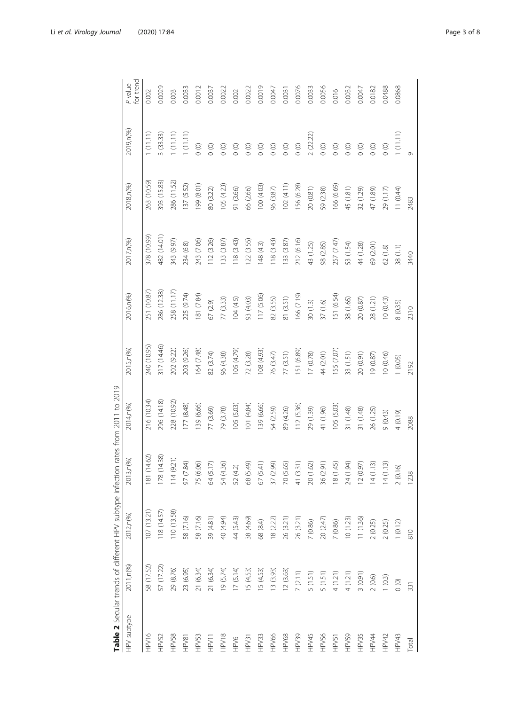<span id="page-2-0"></span>

|              |            |            | Table 2 Secular trends of different HPV subtype infection rates from 2011 to 2019 |             |             |             |             |             |           |                      |
|--------------|------------|------------|-----------------------------------------------------------------------------------|-------------|-------------|-------------|-------------|-------------|-----------|----------------------|
| HPV subtype  | 2011, n(%) | 2012,n(%)  | 3, n(96)<br>$\overline{5}$                                                        | 2014, n(%)  | 2015, n(%)  | 2016,n(%)   | 2017, n(%)  | 2018, n(%)  | 2019,n(%) | for trend<br>P value |
| HPV16        | 58 (17.52) | 07(13.21)  | (14.62)<br>$\frac{18}{2}$                                                         | 216 (10.34) | 240 (10.95) | 251 (10.87) | 378 (10.99) | 263 (10.59) | 1(11.11)  | 0.002                |
| HPV52        | 57 (17.22) | 18 (14.57) | 178 (14.38)                                                                       | 296 (14.18) | 317 (14.46) | 286 (12.38) | 482 (14.01) | 393 (15.83) | 3 (33.33) | 0.0029               |
| HPV58        | 29 (8.76)  | 110(13.58) | 114(9.21)                                                                         | 228 (10.92) | 202 (9.22)  | 258 (11.17) | 343 (9.97)  | 286 (11.52) | 1(11.11)  | 0.003                |
| HPV81        | 23 (6.95)  | 58 (7.16)  | $(7.84)$<br>50                                                                    | 177 (8.48)  | 203 (9.26)  | 225 (9.74)  | 234 (6.8)   | 137 (5.52)  | 1(11.11)  | 0.0033               |
| HPV53        | 21 (6.34)  | 58 (7.16)  | (6.06)<br>75                                                                      | 139 (6.66)  | 164 (7.48)  | 81 (7.84)   | 243 (7.06)  | 199 (8.01)  | $\circ$   | 0.0012               |
| HPV11        | 21 (6.34)  | 39 (4.81)  | (5.17)<br>2                                                                       | 77 (3.69)   | 82 (3.74)   | 67 (2.9)    | 112 (3.26)  | 80 (3.22)   | $\circ$   | 0.0037               |
| HPV18        | 19 (5.74)  | 40 (4.94)  | (4.36)<br>54                                                                      | 79 (3.78)   | 96 (4.38)   | 77 (3.33)   | 133 (3.87)  | 105(4.23)   | (0)       | 0.0022               |
| <b>SVGH</b>  | 17(5.14)   | 44 (5.43)  | $(4.2)$<br>52                                                                     | 105 (5.03)  | 105 (4.79)  | 104(4.5)    | 118 (3.43)  | 91 (3.66)   | $\circ$   | 0.002                |
| HPV31        | 15 (4.53)  | 38 (4.69)  | (5.49)<br>$8^{\circ}$                                                             | 101 (4.84)  | 72 (3.28)   | 93 (4.03)   | 122 (3.55)  | 66 (2.66)   | $\circ$   | 0.0022               |
| HPV33        | 15 (4.53)  | 68 (8.4)   | (5.41)<br>67                                                                      | 139 (6.66)  | 108 (4.93)  | 117 (5.06)  | 148(43)     | 100 (4.03)  | (0)       | 0.0019               |
| <b>HPV66</b> | 13 (3.93)  | 18 (2.22)  | (2.99)<br>37                                                                      | 54 (2.59)   | 76 (3.47)   | 82 (3.55)   | 118 (3.43)  | 96 (3.87)   | $\circ$   | 0.0047               |
| <b>HPV68</b> | 12 (3.63)  | 26 (3.21)  | (5.65)<br>R                                                                       | 89 (4.26)   | 77 (3.51)   | 81 (3.51)   | 133 (3.87)  | 102(4.11)   | $\circ$   | 0.0031               |
| HPV39        | 7(2.11)    | 26 (3.21)  | (3.31)<br>$\frac{4}{3}$                                                           | 112 (5.36)  | 151 (6.89)  | 166 (7.19)  | 212 (6.16)  | 156 (6.28)  | $\circ$   | 0.0076               |
| HPV45        | 5(1.51)    | 7(0.86)    | (1.62)<br>$\gtrsim$                                                               | 29 (1.39)   | 17(0.78)    | 30(1.3)     | 43 (1.25)   | 20(0.81)    | 2 (22.22) | 0.0033               |
| HPV56        | 5(1.51)    | 20 (2.47)  | (2.91)<br>36                                                                      | 41 (1.96)   | 44 (2.01)   | 37(1.6)     | 98 (2.85)   | 59 (2.38)   | $\circ$   | 0.0056               |
| HPV51        | 4(1.21)    | 7(0.86)    | (1.45)<br>$\approx$                                                               | 105 (5.03)  | 155 (7.07)  | 151 (6.54)  | 257(7.47)   | 166 (6.69)  | $\circ$   | 0.016                |
| HPV59        | 4(1.21)    | 10(1.23)   | (1.94)<br>24                                                                      | 31 (1.48)   | 33 (1.51)   | 38 (1.65)   | 53 (1.54)   | 45 (1.81)   | $\circ$   | 0.0032               |
| HPV35        | 3(0.91)    | 11 (1.36)  | (0.97)<br>$\overline{C}$                                                          | 31 (1.48)   | 20 (0.91)   | 20(0.87)    | 44 (1.28)   | 32 (1.29)   | $\circ$   | 0.0047               |
| <b>HPV44</b> | 2(0.6)     | 2(0.25)    | (1.13)<br>$\overline{4}$                                                          | 26 (1.25)   | 19 (0.87)   | 28 (1.21)   | 69 (2.01)   | 47 (1.89)   | $\circ$   | 0.0182               |
| HPV42        | 1(0.3)     | 2(0.25)    | (1.13)<br>$\overline{4}$                                                          | 9(0.43)     | 10 (0.46)   | 10(0.43)    | 62(1.8)     | 29 (1.17)   | $\circ$   | 0.0488               |
| HPV43        | $\circ$    | 1(0.12)    | 2(0.16)                                                                           | 4(0.19)     | 1 (0.05)    | 8(0.35)     | 38(1.1)     | 11(0.44)    | 1(11.11)  | 0.0868               |
| Total        | 331        | 810        | 1238                                                                              | 2088        | 2192        | 2310        | 3440        | 2483        | Ò         |                      |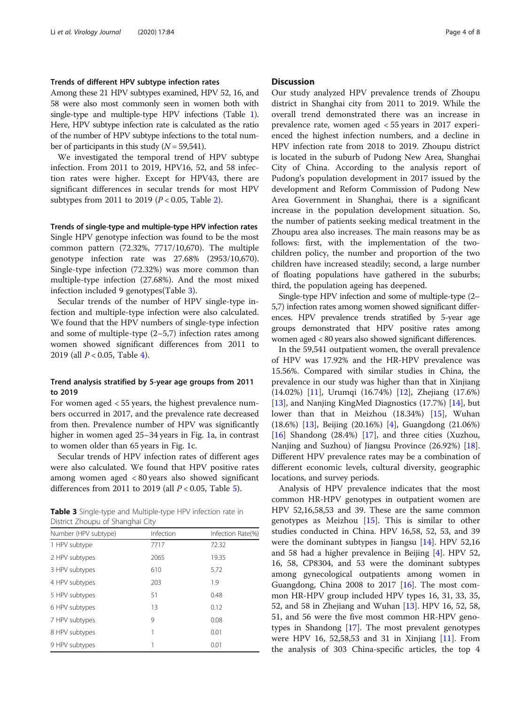# Trends of different HPV subtype infection rates

Among these 21 HPV subtypes examined, HPV 52, 16, and 58 were also most commonly seen in women both with single-type and multiple-type HPV infections (Table [1](#page-1-0)). Here, HPV subtype infection rate is calculated as the ratio of the number of HPV subtype infections to the total number of participants in this study  $(N = 59,541)$ .

We investigated the temporal trend of HPV subtype infection. From 2011 to 2019, HPV16, 52, and 58 infection rates were higher. Except for HPV43, there are significant differences in secular trends for most HPV subtypes from 2011 to 2019 ( $P < 0.05$ , Table [2\)](#page-2-0).

Trends of single-type and multiple-type HPV infection rates Single HPV genotype infection was found to be the most common pattern (72.32%, 7717/10,670). The multiple genotype infection rate was 27.68% (2953/10,670). Single-type infection (72.32%) was more common than multiple-type infection (27.68%). And the most mixed infection included 9 genotypes(Table 3).

Secular trends of the number of HPV single-type infection and multiple-type infection were also calculated. We found that the HPV numbers of single-type infection and some of multiple-type (2–5,7) infection rates among women showed significant differences from 2011 to 2019 (all  $P < 0.05$ , Table [4](#page-4-0)).

# Trend analysis stratified by 5-year age groups from 2011 to 2019

For women aged < 55 years, the highest prevalence numbers occurred in 2017, and the prevalence rate decreased from then. Prevalence number of HPV was significantly higher in women aged 25–34 years in Fig. [1a](#page-5-0), in contrast to women older than 65 years in Fig. [1c](#page-5-0).

Secular trends of HPV infection rates of different ages were also calculated. We found that HPV positive rates among women aged < 80 years also showed significant differences from 2011 to 2019 (all  $P < 0.05$ , Table [5\)](#page-6-0).

Table 3 Single-type and Multiple-type HPV infection rate in District Zhoupu of Shanghai City

| Number (HPV subtype) | Infection | Infection Rate(%) |
|----------------------|-----------|-------------------|
| 1 HPV subtype        | 7717      | 72.32             |
| 2 HPV subtypes       | 2065      | 19.35             |
| 3 HPV subtypes       | 610       | 5.72              |
| 4 HPV subtypes       | 203       | 1.9               |
| 5 HPV subtypes       | 51        | 0.48              |
| 6 HPV subtypes       | 13        | 0.12              |
| 7 HPV subtypes       | 9         | 0.08              |
| 8 HPV subtypes       | 1         | 0.01              |
| 9 HPV subtypes       |           | 0.01              |

#### **Discussion**

Our study analyzed HPV prevalence trends of Zhoupu district in Shanghai city from 2011 to 2019. While the overall trend demonstrated there was an increase in prevalence rate, women aged < 55 years in 2017 experienced the highest infection numbers, and a decline in HPV infection rate from 2018 to 2019. Zhoupu district is located in the suburb of Pudong New Area, Shanghai City of China. According to the analysis report of Pudong's population development in 2017 issued by the development and Reform Commission of Pudong New Area Government in Shanghai, there is a significant increase in the population development situation. So, the number of patients seeking medical treatment in the Zhoupu area also increases. The main reasons may be as follows: first, with the implementation of the twochildren policy, the number and proportion of the two children have increased steadily; second, a large number of floating populations have gathered in the suburbs; third, the population ageing has deepened.

Single-type HPV infection and some of multiple-type (2– 5,7) infection rates among women showed significant differences. HPV prevalence trends stratified by 5-year age groups demonstrated that HPV positive rates among women aged < 80 years also showed significant differences.

In the 59,541 outpatient women, the overall prevalence of HPV was 17.92% and the HR-HPV prevalence was 15.56%. Compared with similar studies in China, the prevalence in our study was higher than that in Xinjiang (14.02%) [[11\]](#page-7-0), Urumqi (16.74%) [\[12\]](#page-7-0), Zhejiang (17.6%) [[13\]](#page-7-0), and Nanjing KingMed Diagnostics (17.7%) [[14\]](#page-7-0), but lower than that in Meizhou (18.34%) [\[15\]](#page-7-0), Wuhan (18.6%) [\[13](#page-7-0)], Beijing (20.16%) [[4\]](#page-7-0), Guangdong (21.06%) [[16\]](#page-7-0) Shandong (28.4%) [\[17](#page-7-0)], and three cities (Xuzhou, Nanjing and Suzhou) of Jiangsu Province (26.92%) [\[18](#page-7-0)]. Different HPV prevalence rates may be a combination of different economic levels, cultural diversity, geographic locations, and survey periods.

Analysis of HPV prevalence indicates that the most common HR-HPV genotypes in outpatient women are HPV 52,16,58,53 and 39. These are the same common genotypes as Meizhou  $[15]$  $[15]$ . This is similar to other studies conducted in China. HPV 16,58, 52, 53, and 39 were the dominant subtypes in Jiangsu [\[14](#page-7-0)]. HPV 52,16 and 58 had a higher prevalence in Beijing [[4\]](#page-7-0). HPV 52, 16, 58, CP8304, and 53 were the dominant subtypes among gynecological outpatients among women in Guangdong, China 2008 to 2017  $[16]$ . The most common HR-HPV group included HPV types 16, 31, 33, 35, 52, and 58 in Zhejiang and Wuhan [\[13](#page-7-0)]. HPV 16, 52, 58, 51, and 56 were the five most common HR-HPV genotypes in Shandong [[17\]](#page-7-0). The most prevalent genotypes were HPV 16, 52,58,53 and 31 in Xinjiang [[11\]](#page-7-0). From the analysis of 303 China-specific articles, the top 4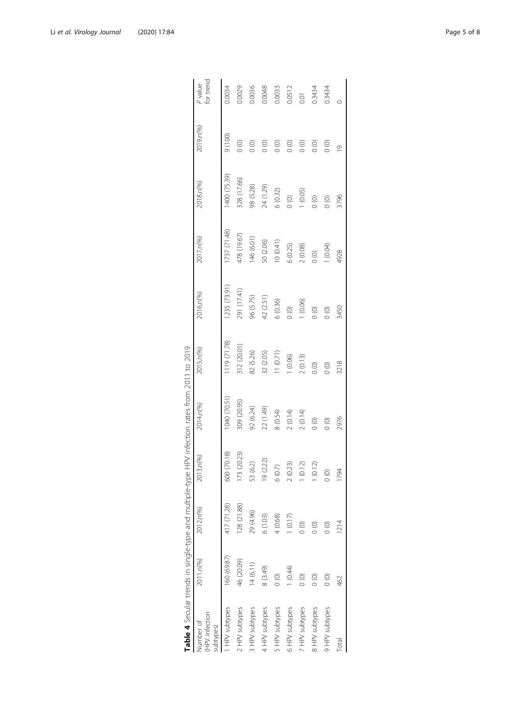<span id="page-4-0"></span>

|                                         |               |               |                          | Table 4 Secular trends in single-type and multiple-type HPV infection rates from 2011 to 2019 |             |              |                |              |                    |                      |
|-----------------------------------------|---------------|---------------|--------------------------|-----------------------------------------------------------------------------------------------|-------------|--------------|----------------|--------------|--------------------|----------------------|
| HPV infection<br>Number of<br>subtypes) | 2011, n(%)    | 2012,n(%)     | 13, n(%)<br>Ŕ            | 2014,n(%)                                                                                     | 2015, n(%)  | 2016,n(%)    | 2017, n(%)     | 2018, n(%)   | 2019,n(%)          | for trend<br>P value |
| I HPV subtypes                          | 160 (69.87)   | 417 (71.28)   | 600 (70.18)              | 1040 (70.51)                                                                                  | 119 (71.78) | (235 (73.91) | 737 (71.48)    | 1400 (75.39) | (001)              | 0.0034               |
| 2 HPV subtypes                          | 46 (20.09)    | 128 (21.88)   | 173 (20.23)              | 309 (20.95)                                                                                   | 312 (20.01) | 291 (17.41)  | 478 (19.67)    | 328 (17.66)  | $\circ$            | 0.0029               |
| 3 HPV subtypes                          | 14(6.11)      | 29 (4.96)     | (6.2)<br>53              | 92 (6.24)                                                                                     | 82 (5.26)   | 96 (5.75)    | 46 (6.01)      | 98 (5.28)    | $\frac{1}{2}$      | 0.0036               |
| 4 HPV subtypes                          | 8 (3.49)      | 6(1.03)       | (2.22)<br>$\overline{0}$ | 22 (1.49)                                                                                     | 32 (2.05)   | 42 (2.51)    | 50 (2.06)      | 24 (1.29)    |                    | 0.0048               |
| 5 HPV subtypes                          | $\circ$       | 4 (0.68)      | (0.7)<br>O               | 8(0.54)                                                                                       | 11(0.71)    | 6(0.36)      | 10(0.41)       | 6(0.32)      | $_{\odot}^{\odot}$ | 0.0033               |
| 6 HPV subtypes                          | (0.44)        | 1(0.17)       | (0.23)                   | 2(0.14)                                                                                       | (0.06)      | $\circ$      | 6(0.25)        | $\circ$      | $\frac{1}{2}$      | 0.0512               |
| 7 HPV subtypes                          | $\frac{1}{2}$ | $\circ$       | (0.12)                   | 2(0.14)                                                                                       | 2(0.13)     | 1(0.06)      | 2(0.08)        | 1(0.05)      | $\circ$            | $\overline{5}$       |
| 8 HPV subtypes                          | $\circ$       | $\circ$       | (0.12)                   | $\circ$                                                                                       | $\circ$     | $\circ$      | $\circledcirc$ | $\circ$      | $\circ$            | 0.3434               |
| 9 HPV subtypes                          | $\circ$       | $\frac{1}{2}$ | $\circ$                  | $\circ$                                                                                       | $\circ$     | $\circ$      | (0.04)         | $\circ$      | $\circ$            | 0.3434               |
| Total                                   | 462           | 1214<br>12    | 84                       | 2976                                                                                          | 3218        | 3450         | 4928           | 3796         | $\frac{1}{2}$      |                      |
|                                         |               |               |                          |                                                                                               |             |              |                |              |                    |                      |

| ١                                                                           |
|-----------------------------------------------------------------------------|
| $\frac{1}{2}$<br>ï                                                          |
|                                                                             |
|                                                                             |
| .<br>2<br>2<br>2<br>2<br>2<br>2<br>2<br>2<br>2<br>2<br>2<br>1<br>1<br><br>Č |
| $\frac{1}{2}$<br>l<br>)                                                     |
|                                                                             |
| )<br>2<br>2<br>2<br>2<br>2<br>2<br>2<br>2<br><br>$\frac{1}{2}$              |
| l                                                                           |
|                                                                             |
|                                                                             |
| ï                                                                           |
|                                                                             |
|                                                                             |
|                                                                             |
|                                                                             |
| 221111112121                                                                |
| Î                                                                           |
|                                                                             |
|                                                                             |
| į                                                                           |
| $\mathcal{L}$                                                               |
|                                                                             |
| ة<br>ك                                                                      |
|                                                                             |
| . )<br>). ). ). ). ). ).                                                    |
|                                                                             |
| 5<br>5<br>5<br>ļ                                                            |
| j<br>$\overline{\phantom{a}}$<br>I                                          |
| I                                                                           |
| )<br> <br> <br>֧֧֧֧֪֧֚֚֚֚֚֚֚֚֚֚֚֚֚֚֚֚֚֚֚֚֚֚֚֚֚֚֡֝֓֝֓֡֝֬֝֓֝֓֝֬               |
| ī<br>l<br>ï                                                                 |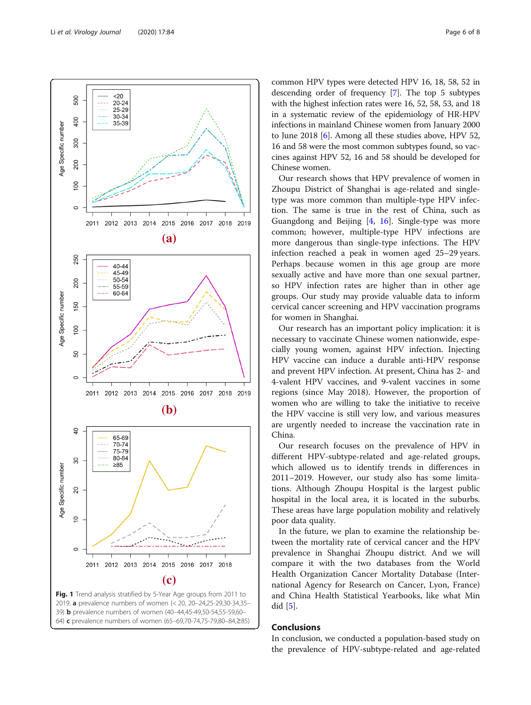<span id="page-5-0"></span>

64) c prevalence numbers of women (65-69,70-74,75-79,80-84,≥85)

common HPV types were detected HPV 16, 18, 58, 52 in descending order of frequency [[7](#page-7-0)]. The top 5 subtypes with the highest infection rates were 16, 52, 58, 53, and 18 in a systematic review of the epidemiology of HR-HPV infections in mainland Chinese women from January 2000 to June 2018 [[6](#page-7-0)]. Among all these studies above, HPV 52, 16 and 58 were the most common subtypes found, so vaccines against HPV 52, 16 and 58 should be developed for Chinese women.

Our research shows that HPV prevalence of women in Zhoupu District of Shanghai is age-related and singletype was more common than multiple-type HPV infection. The same is true in the rest of China, such as Guangdong and Beijing [[4,](#page-7-0) [16\]](#page-7-0). Single-type was more common; however, multiple-type HPV infections are more dangerous than single-type infections. The HPV infection reached a peak in women aged 25–29 years. Perhaps because women in this age group are more sexually active and have more than one sexual partner, so HPV infection rates are higher than in other age groups. Our study may provide valuable data to inform cervical cancer screening and HPV vaccination programs for women in Shanghai.

Our research has an important policy implication: it is necessary to vaccinate Chinese women nationwide, especially young women, against HPV infection. Injecting HPV vaccine can induce a durable anti-HPV response and prevent HPV infection. At present, China has 2- and 4-valent HPV vaccines, and 9-valent vaccines in some regions (since May 2018). However, the proportion of women who are willing to take the initiative to receive the HPV vaccine is still very low, and various measures are urgently needed to increase the vaccination rate in China.

Our research focuses on the prevalence of HPV in different HPV-subtype-related and age-related groups, which allowed us to identify trends in differences in 2011–2019. However, our study also has some limitations. Although Zhoupu Hospital is the largest public hospital in the local area, it is located in the suburbs. These areas have large population mobility and relatively poor data quality.

In the future, we plan to examine the relationship between the mortality rate of cervical cancer and the HPV prevalence in Shanghai Zhoupu district. And we will compare it with the two databases from the World Health Organization Cancer Mortality Database (International Agency for Research on Cancer, Lyon, France) and China Health Statistical Yearbooks, like what Min did [[5\]](#page-7-0).

# Conclusions

In conclusion, we conducted a population-based study on the prevalence of HPV-subtype-related and age-related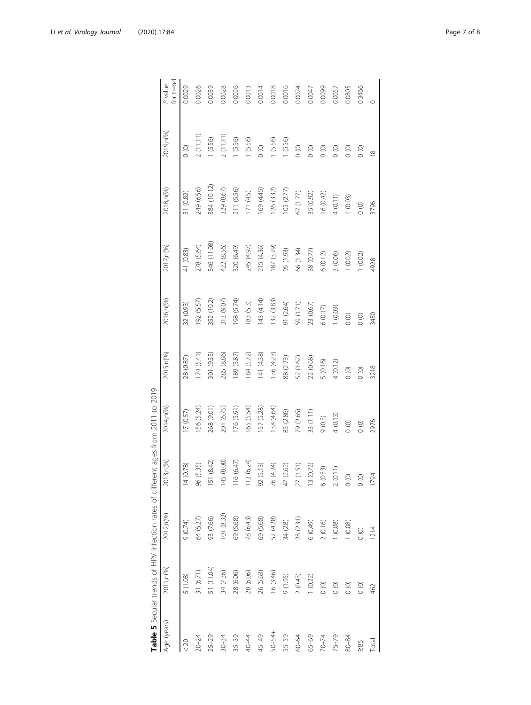| Age (years) | 2011, n(%) | 2012, n(%) | 2013,n(%)                         | 2014,n(%)  | 2015, n(%) | 2016,n(%)   | 2017, n(%)  | 2018, n(%)  | 2019 <sub>, n</sub> (%) | P value<br>for trend |
|-------------|------------|------------|-----------------------------------|------------|------------|-------------|-------------|-------------|-------------------------|----------------------|
| < 20        | 5 (1.08)   | 9(0.74)    | 14(0.78)                          | 17 (0.57)  | 28 (0.87)  | 32 (0.93)   | 41 (0.83)   | 31 (0.82)   | $\circ$                 | 0.0029               |
| $20 - 24$   | 31 (6.71)  | 64 (5.27)  | 96 (5.35)                         | 56 (5.24)  | 174(5.41)  | $(5.5)$ (92 | 278 (5.64)  | 249 (6.56)  | 2(11.11)                | 0.0026               |
| $25 - 29$   | 51 (11.04) | 93 (7.66)  | 151 (8.42)                        | 268 (9.01) | 301 (9.35) | 352 (10.2)  | 546 (11.08) | 384 (10.12) | 1(5.56)                 | 0.0039               |
| $30 - 34$   | 34 (7.36)  | 101(8.32)  | 145 (8.08)                        | 201 (6.75) | 285 (8.86) | 313 (9.07)  | 422 (8.56)  | 329 (8.67)  | 2(11.11)                | 0.0028               |
| $35 - 39$   | 28 (6.06)  | 69 (5.68)  | (6.47)<br>$\frac{16}{1}$          | 176(5.91)  | 189 (5.87) | 198 (5.74)  | 320 (6.49)  | 211 (5.56)  | 1(5.56)                 | 0.0026               |
| 40-44       | 28 (6.06)  | 78 (6.43)  | (6.24)<br>112                     | 165 (5.54) | 184 (5.72) | 183 (5.3)   | 245 (4.97)  | 171 (4.5)   | 1 (5.56)                | 0.0013               |
| 45-49       | 26 (5.63)  | 69 (5.68)  | 92 (5.13)                         | IS7 (5.28) | 141 (4.38) | 143 (4.14)  | 215 (4.36)  | 169 (4.45)  | $\circ$                 | 0.0014               |
| 50-54+      | 16 (3.46)  | 52 (4.28)  | 4.24<br>76 (4.                    | 138 (4.64) | 136 (4.23) | 132 (3.83)  | 87 (3.79)   | 126 (3.32)  | 1(5.56)                 | 0.0018               |
| 55-59       | (1.95)     | 34(28)     | (62)<br>47 (2,                    | 85 (2.86)  | 88 (2.73)  | 91 (2.64)   | 95 (1.93)   | 105 (2.77)  | 1 (5.56)                | 0.0016               |
| 60-64       | 2(0.43)    | 28 (2.31   | 27 (1.51)                         | 79 (2.65)  | 52 (1.62)  | 59 (1.71)   | 66 (1.34)   | 67(1.77)    | $\circ$                 | 0.0024               |
| 65-69       | 1(0.22)    | (6.0, 0)   | 13 (0.72)                         | 33 (1.11)  | 22 (0.68)  | 23 (0.67)   | 38 (0.77)   | 35 (0.92)   | $\circ$                 | 0.0047               |
| $70 - 74$   | $\circ$    | 2(0.16)    | 6(0.33)                           | 9(0.3)     | 5(0.16)    | 6(0.17)     | 6(0.12)     | 16(0.42)    | $\circ$                 | 0.0099               |
| $75 - 79$   | $\circ$    | 1(0.08)    | $\widehat{\phantom{a}}$<br>2(0.1) | 4(0.13)    | 4(0.12)    | 1(0.03)     | 3 (0.06)    | 4(0.11)     | $\circ$                 | 0.0057               |
| $80 - 84$   | $\circ$    | (0.08)     | $\circ$                           | $\circ$    | $\circ$    | $\circ$     | 1(0.02)     | (0.03)      | $\circ$                 | 0.0805               |
| $\geq 85$   | $\circ$    | $\circ$    | $\circ$                           | $\circ$    | $\circ$    | $\circ$     | 1(0.02)     | $\circ$     | $\circ$                 | 0.3466               |
| Total       | 462        | 1214       | 1794                              | 2976       | 3218       | 3450        | 4928        | 3796        | $\frac{8}{10}$          | $\circ$              |

<span id="page-6-0"></span>